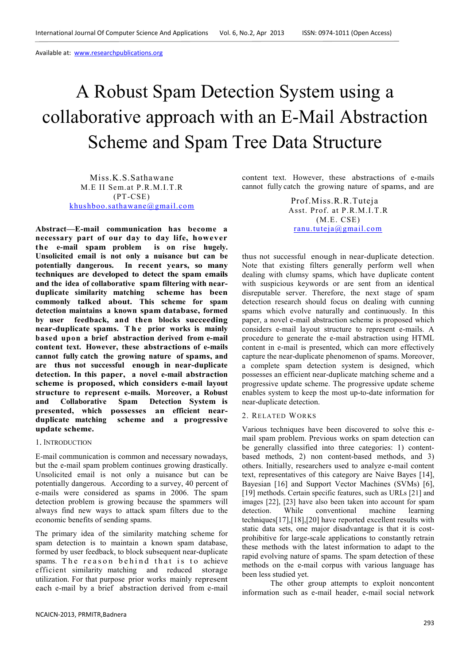# A Robust Spam Detection System using a collaborative approach with an E-Mail Abstraction Scheme and Spam Tree Data Structure

Miss.K.S.Sathawane M.E II Sem.at P.R.M.I.T.R (PT-CSE) khushboo.sathawane@gmail.com

**Abstract—E-mail communication has become a necessary part of our day to day life, however the e-mail spam problem is on rise hugely. Unsolicited email is not only a nuisance but can be potentially dangerous. In recent years, so many techniques are developed to detect the spam emails and the idea of collaborative spam filtering with nearduplicate similarity matching scheme has been commonly talked about. This scheme for spam detection maintains a known spam database, formed by user feedback, and then blocks succeeding near-duplicate spams. T h e prior works is mainly based upon a brief abstraction derived from e-mail content text. However, these abstractions of e-mails cannot fully catch the growing nature of spams, and are thus not successful enough in near-duplicate detection. In this paper, a novel e-mail abstraction scheme is proposed, which considers e-mail layout structure to represent e-mails. Moreover, a Robust and Collaborative Spam Detection System is presented, which possesses an efficient near**scheme and a progressive **update scheme.** 

#### 1. INTRODUCTION

E-mail communication is common and necessary nowadays, but the e-mail spam problem continues growing drastically. Unsolicited email is not only a nuisance but can be potentially dangerous. According to a survey, 40 percent of e-mails were considered as spams in 2006. The spam detection problem is growing because the spammers will always find new ways to attack spam filters due to the economic benefits of sending spams.

The primary idea of the similarity matching scheme for spam detection is to maintain a known spam database, formed by user feedback, to block subsequent near-duplicate spams. The reason behind that is to achieve efficient similarity matching and reduced storage utilization. For that purpose prior works mainly represent each e-mail by a brief abstraction derived from e-mail

content text. However, these abstractions of e-mails cannot fully catch the growing nature of spams, and are

> Prof.Miss.R.R.Tuteja Asst. Prof. at P.R.M.I.T.R (M.E. CSE) ranu.tuteja@gmail.com

thus not successful enough in near-duplicate detection. Note that existing filters generally perform well when dealing with clumsy spams, which have duplicate content with suspicious keywords or are sent from an identical disreputable server. Therefore, the next stage of spam detection research should focus on dealing with cunning spams which evolve naturally and continuously. In this paper, a novel e-mail abstraction scheme is proposed which considers e-mail layout structure to represent e-mails. A procedure to generate the e-mail abstraction using HTML content in e-mail is presented, which can more effectively capture the near-duplicate phenomenon of spams. Moreover, a complete spam detection system is designed, which possesses an efficient near-duplicate matching scheme and a progressive update scheme. The progressive update scheme enables system to keep the most up-to-date information for near-duplicate detection.

# 2. RELATED WORKS

Various techniques have been discovered to solve this email spam problem. Previous works on spam detection can be generally classified into three categories: 1) contentbased methods, 2) non content-based methods, and 3) others. Initially, researchers used to analyze e-mail content text, representatives of this category are Naive Bayes [14], Bayesian [16] and Support Vector Machines (SVMs) [6], [19] methods. Certain specific features, such as URLs [21] and images [22], [23] have also been taken into account for spam detection. While conventional machine learning techniques[17],[18],[20] have reported excellent results with static data sets, one major disadvantage is that it is costprohibitive for large-scale applications to constantly retrain these methods with the latest information to adapt to the rapid evolving nature of spams. The spam detection of these methods on the e-mail corpus with various language has been less studied yet.

The other group attempts to exploit noncontent information such as e-mail header, e-mail social network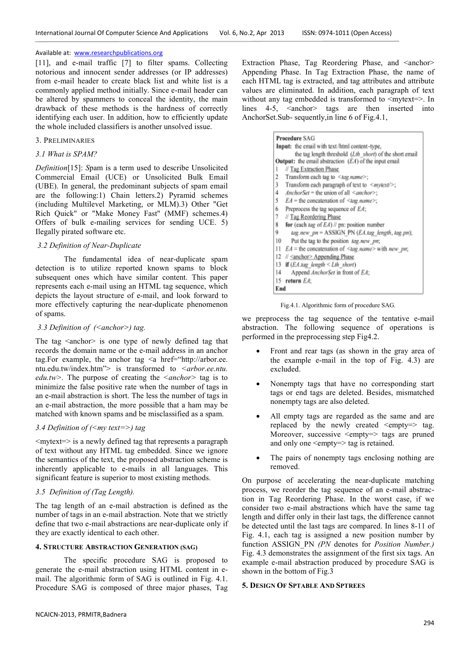[11], and e-mail traffic [7] to filter spams. Collecting notorious and innocent sender addresses (or IP addresses) from e-mail header to create black list and white list is a commonly applied method initially. Since e-mail header can be altered by spammers to conceal the identity, the main drawback of these methods is the hardness of correctly identifying each user. In addition, how to efficiently update the whole included classifiers is another unsolved issue.

#### 3. PRELIMINARIES

#### *3.1 What is SPAM?*

*Definition*[15]: *S*pam is a term used to describe Unsolicited Commercial Email (UCE) or Unsolicited Bulk Email (UBE). In general, the predominant subjects of spam email are the following:1) Chain letters.2) Pyramid schemes (including Multilevel Marketing, or MLM).3) Other "Get Rich Quick" or "Make Money Fast" (MMF) schemes.4) Offers of bulk e-mailing services for sending UCE. 5) Ilegally pirated software etc.

# *3.2 Definition of Near-Duplicate*

The fundamental idea of near-duplicate spam detection is to utilize reported known spams to block subsequent ones which have similar content. This paper represents each e-mail using an HTML tag sequence, which depicts the layout structure of e-mail, and look forward to more effectively capturing the near-duplicate phenomenon of spams.

#### *3.3 Definition of (<anchor>) tag.*

The tag  $\leq$  anchor $\geq$  is one type of newly defined tag that records the domain name or the e-mail address in an anchor tag. For example, the anchor tag  $\leq a$  href="http://arbor.ee. ntu.edu.tw/index.htm"> is transformed to *<arbor.ee.ntu. edu.tw>.* The purpose of creating the *<anchor>* tag is to minimize the false positive rate when the number of tags in an e-mail abstraction is short. The less the number of tags in an e-mail abstraction, the more possible that a ham may be matched with known spams and be misclassified as a spam.

# *3.4 Definition of (<my text=>) tag*

 $\langle$ mytext= $>$  is a newly defined tag that represents a paragraph of text without any HTML tag embedded. Since we ignore the semantics of the text, the proposed abstraction scheme is inherently applicable to e-mails in all languages. This significant feature is superior to most existing methods.

#### *3.5 Definition of (Tag Length).*

The tag length of an e-mail abstraction is defined as the number of tags in an e-mail abstraction. Note that we strictly define that two e-mail abstractions are near-duplicate only if they are exactly identical to each other.

# **4. STRUCTURE ABSTRACTION GENERATION (SAG)**

The specific procedure SAG is proposed to generate the e-mail abstraction using HTML content in email. The algorithmic form of SAG is outlined in Fig. 4.1. Procedure SAG is composed of three major phases, Tag

Extraction Phase, Tag Reordering Phase, and <anchor> Appending Phase. In Tag Extraction Phase, the name of each HTML tag is extracted, and tag attributes and attribute values are eliminated. In addition, each paragraph of text without any tag embedded is transformed to <mytext=>. In lines  $4-5$ ,  $\leq$  anchor $\geq$  tags are then inserted into AnchorSet.Sub- sequently,in line 6 of Fig.4.1,

| <b>Procedure SAG</b>                                            |
|-----------------------------------------------------------------|
| Input: the email with text/html content-type,                   |
| the tag length threshold (Lth short) of the short email         |
| <b>Output:</b> the email abstraction $(EA)$ of the input email  |
| // Tag Extraction Phase<br>ı                                    |
| 2<br>Transform each tag to <tag.name>;</tag.name>               |
| 3<br>Transform each paragraph of text to <mytext></mytext> ;    |
| AnchorSet = the union of all $\leq$ anchor>:<br>4               |
| 5<br>$EA$ = the concatenation of $\leq$ tag.name>;              |
| Preprocess the tag sequence of EA;<br>6                         |
| 7<br>// Tag Reordering Phase                                    |
| 8<br>for (each $kq$ of $EA$ ) // pn: position number            |
| 9<br>tag.new pn = ASSIGN PN (EA.tag length, tag.pn);            |
| 10<br>Put the tag to the position tag.new pn;                   |
| 11<br>$EA =$ the concatenation of $\leq$ tag.name> with new pn; |
| 12<br>// Sanchor> Appending Phase                               |
| if $(EA, \text{log }\ length \leq Lth \ short)$<br>13           |
| Append AnchorSet in front of EA;<br>14                          |
| return EA:<br>15                                                |
| End                                                             |

Fig.4.1. Algorithmic form of procedure SAG.

we preprocess the tag sequence of the tentative e-mail abstraction. The following sequence of operations is performed in the preprocessing step Fig4.2.

- Front and rear tags (as shown in the gray area of the example e-mail in the top of Fig. 4.3) are excluded.
- Nonempty tags that have no corresponding start tags or end tags are deleted. Besides, mismatched nonempty tags are also deleted.
- All empty tags are regarded as the same and are replaced by the newly created  $\leq$ empty=> tag. Moreover, successive  $\leq$ empty=> tags are pruned and only one <empty=> tag is retained.
- The pairs of nonempty tags enclosing nothing are removed.

On purpose of accelerating the near-duplicate matching process, we reorder the tag sequence of an e-mail abstraction in Tag Reordering Phase. In the worst case, if we consider two e-mail abstractions which have the same tag length and differ only in their last tags, the difference cannot be detected until the last tags are compared. In lines 8-11 of Fig. 4.1, each tag is assigned a new position number by function ASSIGN\_PN *(PN* denotes for *Position Number.)*  Fig. 4.3 demonstrates the assignment of the first six tags. An example e-mail abstraction produced by procedure SAG is shown in the bottom of Fig.3

#### **5. DESIGN OF SPTABLE AND SPTREES**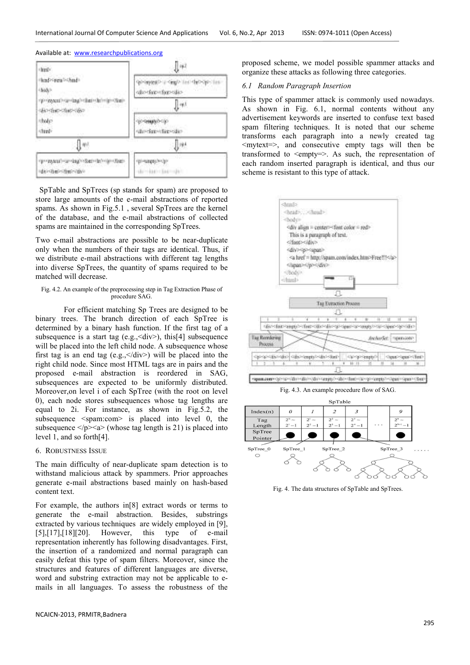

 SpTable and SpTrees (sp stands for spam) are proposed to store large amounts of the e-mail abstractions of reported spams. As shown in Fig.5.1 , several SpTrees are the kernel of the database, and the e-mail abstractions of collected spams are maintained in the corresponding SpTrees.

Two e-mail abstractions are possible to be near-duplicate only when the numbers of their tags are identical. Thus, if we distribute e-mail abstractions with different tag lengths into diverse SpTrees, the quantity of spams required to be matched will decrease.

#### Fig. 4.2. An example of the preprocessing step in Tag Extraction Phase of procedure SAG.

For efficient matching Sp Trees are designed to be binary trees. The branch direction of each SpTree is determined by a binary hash function. If the first tag of a subsequence is a start tag (e.g.,  $\langle \text{div} \rangle$ ), this<sup>[4]</sup> subsequence will be placed into the left child node. A subsequence whose first tag is an end tag (e.g.,  $\langle \text{div} \rangle$ ) will be placed into the right child node. Since most HTML tags are in pairs and the proposed e-mail abstraction is reordered in SAG, subsequences are expected to be uniformly distributed. Moreover,on level i of each SpTree (with the root on level 0), each node stores subsequences whose tag lengths are equal to 2i. For instance, as shown in Fig.5.2, the subsequence <spam:com> is placed into level 0, the subsequence  $\langle p \rangle \langle a \rangle$  (whose tag length is 21) is placed into level 1, and so forth[4].

# 6. ROBUSTNESS ISSUE

The main difficulty of near-duplicate spam detection is to withstand malicious attack by spammers. Prior approaches generate e-mail abstractions based mainly on hash-based content text.

For example, the authors in[8] extract words or terms to generate the e-mail abstraction. Besides, substrings extracted by various techniques are widely employed in [9], [5],[17],[18][20]. However, this type of e-mail representation inherently has following disadvantages. First, the insertion of a randomized and normal paragraph can easily defeat this type of spam filters. Moreover, since the structures and features of different languages are diverse, word and substring extraction may not be applicable to emails in all languages. To assess the robustness of the

proposed scheme, we model possible spammer attacks and organize these attacks as following three categories.

#### *6.1 Random Paragraph Insertion*

This type of spammer attack is commonly used nowadays. As shown in Fig. 6.1, normal contents without any advertisement keywords are inserted to confuse text based spam filtering techniques. It is noted that our scheme transforms each paragraph into a newly created tag  $\langle$  mytext=>, and consecutive empty tags will then be transformed to  $\leq$ empty=>. As such, the representation of each random inserted paragraph is identical, and thus our scheme is resistant to this type of attack.



Fig. 4. The data structures of SpTable and SpTrees.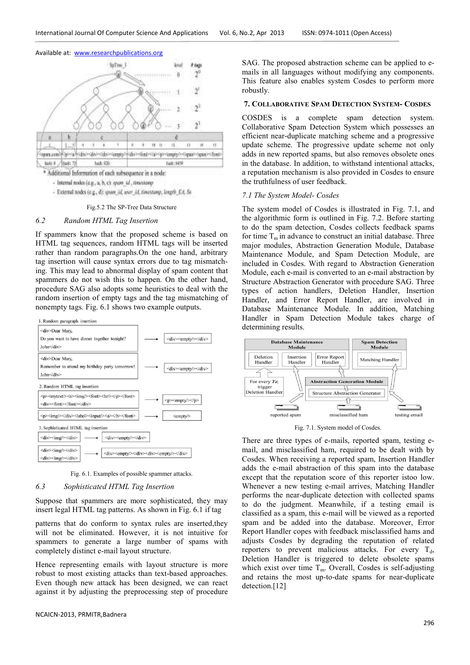

- External nodes (e.g., d): spore AL asset AL threstony, Jongril, Ed. St.

#### Fig.5.2 The SP-Tree Data Structure

# *6.2 Random HTML Tag Insertion*

If spammers know that the proposed scheme is based on HTML tag sequences, random HTML tags will be inserted rather than random paragraphs.On the one hand, arbitrary tag insertion will cause syntax errors due to tag mismatching. This may lead to abnormal display of spam content that spammers do not wish this to happen. On the other hand, procedure SAG also adopts some heuristics to deal with the random insertion of empty tags and the tag mismatching of nonempty tags. Fig. 6.1 shows two example outputs.



Fig. 6.1. Examples of possible spammer attacks.

# *6.3 Sophisticated HTML Tag Insertion*

Suppose that spammers are more sophisticated, they may insert legal HTML tag patterns. As shown in Fig. 6.1 if tag

patterns that do conform to syntax rules are inserted,they will not be eliminated. However, it is not intuitive for spammers to generate a large number of spams with completely distinct e-mail layout structure.

Hence representing emails with layout structure is more robust to most existing attacks than text-based approaches. Even though new attack has been designed, we can react against it by adjusting the preprocessing step of procedure

NCAICN-2013, PRMITR,Badnera

SAG. The proposed abstraction scheme can be applied to emails in all languages without modifying any components. This feature also enables system Cosdes to perform more robustly.

#### **7. COLLABORATIVE SPAM DETECTION SYSTEM- COSDES**

COSDES is a complete spam detection system. Collaborative Spam Detection System which possesses an efficient near-duplicate matching scheme and a progressive update scheme. The progressive update scheme not only adds in new reported spams, but also removes obsolete ones in the database. In addition, to withstand intentional attacks, a reputation mechanism is also provided in Cosdes to ensure the truthfulness of user feedback.

#### *7.1 The System Model- Cosdes*

The system model of Cosdes is illustrated in Fig. 7.1, and the algorithmic form is outlined in Fig. 7.2. Before starting to do the spam detection, Cosdes collects feedback spams for time  $T_m$  in advance to construct an initial database. Three major modules, Abstraction Generation Module, Database Maintenance Module, and Spam Detection Module, are included in Cosdes. With regard to Abstraction Generation Module, each e-mail is converted to an e-mail abstraction by Structure Abstraction Generator with procedure SAG. Three types of action handlers, Deletion Handler, Insertion Handler, and Error Report Handler, are involved in Database Maintenance Module. In addition, Matching Handler in Spam Detection Module takes charge of determining results.



Fig. 7.1. System model of Cosdes.

There are three types of e-mails, reported spam, testing email, and misclassified ham, required to be dealt with by Cosdes. When receiving a reported spam, Insertion Handler adds the e-mail abstraction of this spam into the database except that the reputation score of this reporter istoo low. Whenever a new testing e-mail arrives, Matching Handler performs the near-duplicate detection with collected spams to do the judgment. Meanwhile, if a testing email is classified as a spam, this e-mail will be viewed as a reported spam and be added into the database. Moreover, Error Report Handler copes with feedback misclassified hams and adjusts Cosdes by degrading the reputation of related reporters to prevent malicious attacks. For every  $T_{d}$ , Deletion Handler is triggered to delete obsolete spams which exist over time  $T_m$ . Overall, Cosdes is self-adjusting and retains the most up-to-date spams for near-duplicate detection.<sup>[12]</sup>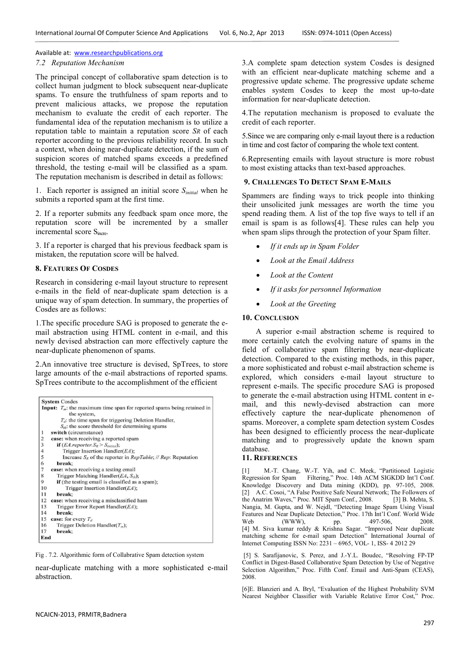#### *7.2 Reputation Mechanism*

The principal concept of collaborative spam detection is to collect human judgment to block subsequent near-duplicate spams. To ensure the truthfulness of spam reports and to prevent malicious attacks, we propose the reputation mechanism to evaluate the credit of each reporter. The fundamental idea of the reputation mechanism is to utilize a reputation table to maintain a reputation score *SR* of each reporter according to the previous reliability record. In such a context, when doing near-duplicate detection, if the sum of suspicion scores of matched spams exceeds a predefined threshold, the testing e-mail will be classified as a spam. The reputation mechanism is described in detail as follows:

1. Each reporter is assigned an initial score *Sinitial* when he submits a reported spam at the first time.

2. If a reporter submits any feedback spam once more, the reputation score will be incremented by a smaller incremental score S<sub>incre</sub>.

3. If a reporter is charged that his previous feedback spam is mistaken, the reputation score will be halved.

#### **8. FEATURES OF COSDES**

Research in considering e-mail layout structure to represent e-mails in the field of near-duplicate spam detection is a unique way of spam detection. In summary, the properties of Cosdes are as follows:

1.The specific procedure SAG is proposed to generate the email abstraction using HTML content in e-mail, and this newly devised abstraction can more effectively capture the near-duplicate phenomenon of spams.

2.An innovative tree structure is devised, SpTrees, to store large amounts of the e-mail abstractions of reported spams. SpTrees contribute to the accomplishment of the efficient

| <b>System Cosdes</b>                                                                            |
|-------------------------------------------------------------------------------------------------|
| <b>Input:</b> $T_m$ : the maximum time span for reported spams being retained in<br>the system, |
| $T_d$ : the time span for triggering Deletion Handler,                                          |
| $S_{th}$ : the score threshold for determining spams                                            |
| switch (circumstance)<br>1                                                                      |
| $\overline{2}$<br>case: when receiving a reported spam                                          |
| 3<br><b>if</b> ( <i>EA.reporter.</i> $S_R > S_{initial}$ );                                     |
| $\overline{4}$<br>Trigger Insertion Handler( $EA$ );                                            |
| 5<br>Increase $S_R$ of the reporter in <i>RepTable</i> ; // <i>Rep</i> : Reputation             |
| 6<br>break:                                                                                     |
| 7<br>case: when receiving a testing email                                                       |
| 8<br>Trigger Matching Handler( $EA$ , $S_{th}$ );                                               |
| 9<br><b>if</b> (the testing email is classified as a spam);                                     |
| 10<br>Trigger Insertion Handler $(EA)$ ;                                                        |
| 11<br>break:                                                                                    |
| 12<br>case: when receiving a misclassified ham                                                  |
| 13<br>Trigger Error Report Handler(EA);                                                         |
| 14<br>break:                                                                                    |
| 15<br>case: for every $T_d$                                                                     |
| Trigger Deletion Handler( $T_m$ );<br>16                                                        |
| 17<br>break:                                                                                    |
| End                                                                                             |

Fig . 7.2. Algorithmic form of Collabrative Spam detection system

near-duplicate matching with a more sophisticated e-mail abstraction.

3.A complete spam detection system Cosdes is designed with an efficient near-duplicate matching scheme and a progressive update scheme. The progressive update scheme enables system Cosdes to keep the most up-to-date information for near-duplicate detection.

4.The reputation mechanism is proposed to evaluate the credit of each reporter.

5.Since we are comparing only e-mail layout there is a reduction in time and cost factor of comparing the whole text content.

6.Representing emails with layout structure is more robust to most existing attacks than text-based approaches.

#### **9. CHALLENGES TO DETECT SPAM E-MAILS**

Spammers are finding ways to trick people into thinking their unsolicited junk messages are worth the time you spend reading them. A list of the top five ways to tell if an email is spam is as follows[4]. These rules can help you when spam slips through the protection of your Spam filter.

- *If it ends up in Spam Folder*
- *Look at the Email Address*
- *Look at the Content*
- *If it asks for personnel Information*
- *Look at the Greeting*

#### **10. CONCLUSION**

 A superior e-mail abstraction scheme is required to more certainly catch the evolving nature of spams in the field of collaborative spam filtering by near-duplicate detection. Compared to the existing methods, in this paper, a more sophisticated and robust e-mail abstraction scheme is explored, which considers e-mail layout structure to represent e-mails. The specific procedure SAG is proposed to generate the e-mail abstraction using HTML content in email, and this newly-devised abstraction can more effectively capture the near-duplicate phenomenon of spams. Moreover, a complete spam detection system Cosdes has been designed to efficiently process the near-duplicate matching and to progressively update the known spam database.

# **11. REFERENCES**

[1] M.-T. Chang, W.-T. Yih, and C. Meek, "Partitioned Logistic Regression for Spam Filtering," Proc. 14th ACM SIGKDD Int'l Conf. Knowledge Discovery and Data mining (KDD), pp. 97-105, 2008. [2] A.C. Cosoi, "A False Positive Safe Neural Network; The Followers of the Anatrim Waves," Proc. MIT Spam Conf., 2008. [3] B. Mehta, S. Nangia, M. Gupta, and W. Nejdl, "Detecting Image Spam Using Visual Features and Near Duplicate Detection," Proc. 17th Int'l Conf. World Wide<br>Web (WWW), pp. 497-506, 2008. Web (WWW), pp. 497-506, 2008. [4] M. Siva kumar reddy & Krishna Sagar. "Improved Near duplicate matching scheme for e-mail spam Detection" International Journal of Internet Computing ISSN No: 2231 – 6965, VOL- 1, ISS- 4 2012 29

 [5] S. Sarafijanovic, S. Perez, and J.-Y.L. Boudec, "Resolving FP-TP Conflict in Digest-Based Collaborative Spam Detection by Use of Negative Selection Algorithm," Proc. Fifth Conf. Email and Anti-Spam (CEAS), 2008.

[6]E. Blanzieri and A. Bryl, "Evaluation of the Highest Probability SVM Nearest Neighbor Classifier with Variable Relative Error Cost," Proc.